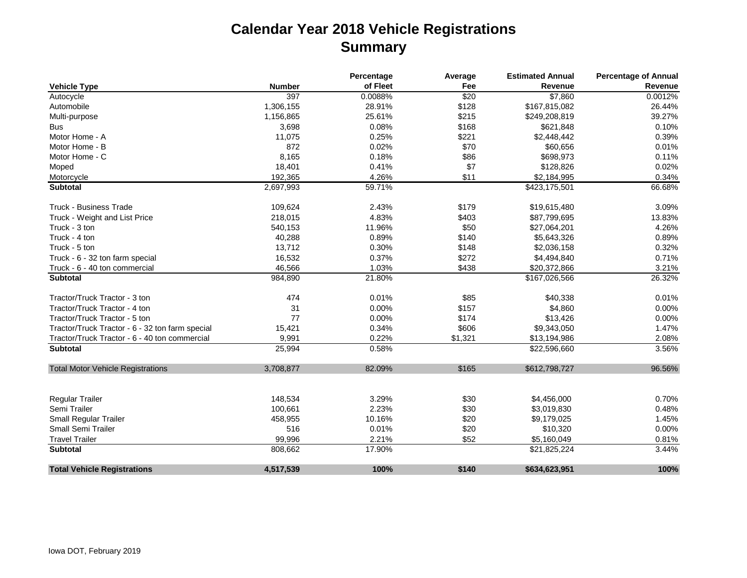## **Calendar Year 2018 Vehicle Registrations Summary**

|                                                 |               | Percentage | Average      | <b>Estimated Annual</b> | <b>Percentage of Annual</b> |  |
|-------------------------------------------------|---------------|------------|--------------|-------------------------|-----------------------------|--|
| <b>Vehicle Type</b>                             | <b>Number</b> | of Fleet   | Fee          | Revenue                 | Revenue                     |  |
| Autocycle                                       | 397           | 0.0088%    | $\sqrt{$20}$ | \$7,860                 | 0.0012%                     |  |
| Automobile                                      | 1,306,155     | 28.91%     | \$128        | \$167,815,082           | 26.44%                      |  |
| Multi-purpose                                   | 1,156,865     | 25.61%     | \$215        | \$249,208,819           | 39.27%                      |  |
| <b>Bus</b>                                      | 3,698         | 0.08%      | \$168        | \$621,848               | 0.10%                       |  |
| Motor Home - A                                  | 11,075        | 0.25%      | \$221        | \$2,448,442             | 0.39%                       |  |
| Motor Home - B                                  | 872           | 0.02%      | \$70         | \$60,656                | 0.01%                       |  |
| Motor Home - C                                  | 8,165         | 0.18%      | \$86         | \$698,973               | 0.11%                       |  |
| Moped                                           | 18,401        | 0.41%      | \$7          | \$128,826               | 0.02%                       |  |
| Motorcycle                                      | 192,365       | 4.26%      | \$11         | \$2,184,995             | 0.34%                       |  |
| <b>Subtotal</b>                                 | 2,697,993     | 59.71%     |              | \$423,175,501           | 66.68%                      |  |
| <b>Truck - Business Trade</b>                   | 109,624       | 2.43%      | \$179        | \$19,615,480            | 3.09%                       |  |
| Truck - Weight and List Price                   | 218,015       | 4.83%      | \$403        | \$87,799,695            | 13.83%                      |  |
| Truck - 3 ton                                   | 540,153       | 11.96%     | \$50         | \$27,064,201            | 4.26%                       |  |
| Truck - 4 ton                                   | 40,288        | 0.89%      | \$140        | \$5,643,326             | 0.89%                       |  |
| Truck - 5 ton                                   | 13,712        | 0.30%      | \$148        | \$2,036,158             | 0.32%                       |  |
| Truck - 6 - 32 ton farm special                 | 16,532        | 0.37%      | \$272        | \$4,494,840             | 0.71%                       |  |
| Truck - 6 - 40 ton commercial                   | 46,566        | 1.03%      | \$438        | \$20,372,866            | 3.21%                       |  |
| <b>Subtotal</b>                                 | 984,890       | 21.80%     |              | \$167,026,566           | 26.32%                      |  |
| Tractor/Truck Tractor - 3 ton                   | 474           | 0.01%      | \$85         | \$40,338                | 0.01%                       |  |
| Tractor/Truck Tractor - 4 ton                   | 31            | 0.00%      | \$157        | \$4,860                 | 0.00%                       |  |
| Tractor/Truck Tractor - 5 ton                   | 77            | 0.00%      | \$174        | \$13,426                | 0.00%                       |  |
| Tractor/Truck Tractor - 6 - 32 ton farm special | 15,421        | 0.34%      | \$606        | \$9,343,050             | 1.47%                       |  |
| Tractor/Truck Tractor - 6 - 40 ton commercial   | 9,991         | 0.22%      | \$1,321      | \$13,194,986            | 2.08%                       |  |
| <b>Subtotal</b>                                 | 25,994        | 0.58%      |              | \$22,596,660            | 3.56%                       |  |
| <b>Total Motor Vehicle Registrations</b>        | 3,708,877     | 82.09%     | \$165        | \$612,798,727           | 96.56%                      |  |
|                                                 |               |            |              |                         |                             |  |
| <b>Regular Trailer</b>                          | 148,534       | 3.29%      | \$30         | \$4,456,000             | 0.70%                       |  |
| Semi Trailer                                    | 100,661       | 2.23%      | \$30         | \$3,019,830             | 0.48%                       |  |
| <b>Small Regular Trailer</b>                    | 458,955       | 10.16%     | \$20         | \$9,179,025             | 1.45%                       |  |
| <b>Small Semi Trailer</b>                       | 516           | 0.01%      | \$20         | \$10,320                | 0.00%                       |  |
| <b>Travel Trailer</b>                           | 99,996        | 2.21%      | \$52         | \$5,160,049             | 0.81%                       |  |
| <b>Subtotal</b>                                 | 808,662       | 17.90%     |              | \$21,825,224            | 3.44%                       |  |
| <b>Total Vehicle Registrations</b>              | 4,517,539     | 100%       | \$140        | \$634,623,951           | 100%                        |  |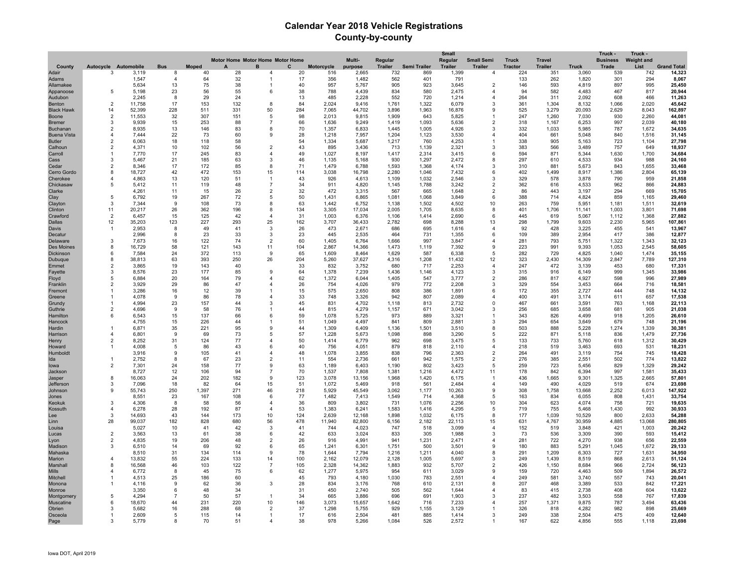## **Calendar Year 2018 Vehicle Registrations County-by-county**

|                       |                      |                      |                            |              |                                  |                                  |           |                |                 |                |                | <b>Small</b>   |                        |                |                |                 | Truck -         | Truck -           |                    |
|-----------------------|----------------------|----------------------|----------------------------|--------------|----------------------------------|----------------------------------|-----------|----------------|-----------------|----------------|----------------|----------------|------------------------|----------------|----------------|-----------------|-----------------|-------------------|--------------------|
|                       |                      |                      |                            |              | Motor Home Motor Home Motor Home |                                  |           |                | Multi-          | Regular        |                | Regular        | <b>Small Semi</b>      | <b>Truck</b>   | <b>Travel</b>  |                 | <b>Business</b> | <b>Weight and</b> |                    |
| County                |                      | Autocycle Automobile | <b>Bus</b>                 | <b>Moped</b> |                                  | C<br>B                           |           | Motorcycle     | purpose         | <b>Trailer</b> | Semi Trailer   | <b>Trailer</b> | <b>Trailer</b>         | <b>Tractor</b> | <b>Trailer</b> | <b>Truck</b>    | Trade           | List              | <b>Grand Total</b> |
| Adair<br><b>Adams</b> | 3                    | 3,119<br>1,547       | 8<br>$\boldsymbol{\Delta}$ | 40<br>64     | 28<br>32                         | $\mathbf{1}$                     | 20<br>17  | 516<br>356     | 2,665<br>1,482  | 732<br>562     | 869<br>401     | 1,399<br>791   | 4                      | 224<br>133     | 351<br>262     | 3,060<br>1,820  | 539<br>301      | 742<br>294        | 14,323<br>8,067    |
| Allamakee             |                      | 5.634                | 13                         | 75           | 38                               | -1                               | 40        | 957            | 5.767           | 905            | 923            | 3.645          | $\overline{2}$         | 146            | 593            | 4.819           | 897             | 995               | 25.450             |
| Appanoose             | 5                    | 5,198                | 23                         | 56           | 55                               | 6                                | 38        | 788            | 4,439           | 834            | 580            | 2,475          | $\overline{4}$         | 94             | 582            | 4,483           | 467             | 817               | 20,944             |
| Audubon               |                      | 2,245                | 8                          | 29           | 24                               |                                  | 13        | 485            | 2,228           | 552            | 720            | 1,214          | $\overline{4}$         | 264            | 311            | 2,092           | 608             | 466               | 11,263             |
| Benton                | $\overline{2}$       | 11,758               | 17                         | 153          | 132                              | 8                                | 84        | 2,024          | 9,416           | 1,761          | 1,322          | 6,079          | 3                      | 361            | 1,304          | 8,132           | 1,066           | 2,020             | 45,642             |
| <b>Black Hawk</b>     | 14                   | 52,399               | 228                        | 511          | 331                              | 50                               | 284       | 7,065          | 44,702          | 3,896          | 1,963          | 16,876         |                        | 525            | 3,279          | 20,093          | 2,629           | 8,043             | 162,897            |
| Boone                 | 2                    | 11,553               | 32                         | 307          | 151                              | 5                                | 98        | 2,013          | 9,815           | 1,909          | 643            | 5,825          |                        | 247            | 1,260          | 7,030           | 930             | 2,260             | 44,081             |
| <b>Bremer</b>         | 3                    | 9,939                | 15                         | 253          | 88                               | $\overline{7}$                   | 66        | 1,636          | 9,249           | 1,419          | 1,093          | 5,636          | $\mathcal{P}$          | 318            | 1,167          | 6,253           | 997             | 2,039             | 40,180             |
| Buchanan              | $\overline{2}$       | 8,935                | 13                         | 146          | 83                               | 8                                | 70        | 1,357          | 6,833           | 1,445          | 1,005          | 4,926          | 3                      | 332            | 1,033          | 5,985           | 787             | 1,672             | 34,635             |
| <b>Buena Vista</b>    | 4                    | 7,444                | 22                         | 73           | 60                               | 9                                | 28        | 1,218          | 7,957           | 1,204          | 1,123          | 3,530          |                        | 404            | 661            | 5,048           | 840             | 1,516             | 31,145             |
| <b>Butler</b>         | 2<br>$\overline{2}$  | 6.063<br>4.371       | 18<br>10                   | 118          | 58<br>56                         | $\mathcal{P}$                    | 54        | 1,334<br>895   | 5.687<br>3.436  | 1,217<br>713   | 760            | 4,253          | $\mathbf{B}$           | 338<br>383     | 905<br>566     | 5,163<br>3.489  | 723<br>757      | 1,104<br>649      | 27,798             |
| Calhoun<br>Carroll    | 1                    | 7.770                | 17                         | 102<br>245   | 83                               | $\mathbf{A}$                     | 43<br>49  | 1.027          | 8.197           | 1.417          | 1,139<br>2.314 | 2,321<br>3.415 | 6                      | 594            | 871            | 5.344           | 1.630           | 1,700             | 18,937<br>34,684   |
| Cass                  | 3                    | 5.467                | 21                         | 185          | 63                               | 3                                | 46        | 1.135          | 5.168           | 930            | 1.297          | 2.472          | 8                      | 297            | 610            | 4.533           | 934             | 988               | 24.160             |
| Cedar                 | $\overline{2}$       | 8.346                | 17                         | 172          | 85                               | 8                                | 71        | 1.479          | 6.788           | 1.593          | 1.368          | 4.174          | 3                      | 310            | 881            | 5.673           | 843             | 1.655             | 33.468             |
| Cerro Gordo           | 8                    | 18,727               | 42                         | 472          | 153                              | 15                               | 114       | 3,038          | 16,798          | 2,280          | 1,046          | 7,432          |                        | 402            | 1,499          | 8,917           | 1,386           | 2,804             | 65,139             |
| Cherokee              |                      | 4,863                | 13                         | 120          | 51                               |                                  | 43        | 926            | 4,613           | 1,109          | 1,032          | 2,546          | 3                      | 329            | 578            | 3,878           | 790             | 959               | 21,858             |
| Chickasaw             | 5                    | 5,412                | 11                         | 119          | 48                               | 7                                | 34        | 911            | 4,820           | 1,145          | 1,788          | 3,242          | $\overline{2}$         | 362            | 616            | 4,533           | 962             | 866               | 24,883             |
| Clarke                |                      | 4,261                | 11                         | 15           | 26                               | $\overline{2}$                   | 32        | 472            | 3,315           | 567            | 665            | 1,648          | $\overline{2}$         | 86             | 443            | 3,197           | 294             | 669               | 15,705             |
| Clav                  | 5                    | 6,792                | 19                         | 267          | 72                               | .5                               | 50        | 1,431          | 6,865           | 1,081          | 1,068          | 3,849          | 6                      | 388            | 714            | 4,824           | 859             | 1,165             | 29,460             |
| Clayton               | 3                    | 7,344                | -9                         | 108          | 73                               | 8                                | 63        | 1,442          | 6,752           | 1,138          | 1,502          | 4,502          | 10                     | 263            | 759            | 5,951           | 1,181           | 1,511             | 32,619             |
| Clinton<br>Crawford   | 11<br>$\overline{2}$ | 20,217<br>6.457      | 26<br>15                   | 362          | 196<br>42                        | 8<br>$\mathbf{4}$                | 134<br>31 | 3,305<br>1,003 | 17,034          | 2,005          | 1,705          | 8,635<br>2,690 | 8<br>6                 | 401<br>445     | 1,706<br>619   | 11,141<br>5.067 | 1,003           | 3,801             | 71,698             |
| <b>Dallas</b>         | 12                   | 35,203               | 123                        | 125<br>227   | 293                              | 25                               | 162       | 3,707          | 6,376<br>36,433 | 1,106<br>2,782 | 1,414<br>698   | 8,288          | 13                     | 298            | 1,799          | 9,603           | 1,112<br>2,230  | 1,368<br>5,965    | 27,882<br>107,861  |
| Davis                 | -1                   | 2,953                | 8                          | 49           | 41                               | $\mathbf{B}$                     | 26        | 473            | 2,671           | 686            | 695            | 1,616          | $\mathbf{A}$           | 92             | 428            | 3,225           | 455             | 541               | 13,967             |
| Decatur               |                      | 2.996                | 8                          | 23           | 33                               | 3                                | 23        | 445            | 2.535           | 464            | 731            | 1.355          | 6                      | 109            | 389            | 2.954           | 417             | 386               | 12,877             |
| Delaware              | 3                    | 7.673                | 16                         | 122          | 74                               | $\overline{2}$                   | 60        | 1.405          | 6.764           | 1.666          | 997            | 3.847          | $\overline{a}$         | 281            | 793            | 5.751           | 1.322           | 1.343             | 32.123             |
| Des Moines            | 8                    | 16,729               | 58                         | 121          | 143                              | 11                               | 104       | 2,867          | 14,366          | 1,473          | 1,119          | 7,392          | 9                      | 223            | 991            | 9,393           | 1,053           | 2,545             | 58,605             |
| Dickinson             | 6                    | 7,584                | 24                         | 372          | 113                              | 9                                | 65        | 1,609          | 8,464           | 1,629          | 587            | 6,338          | 5                      | 282            | 729            | 4,825           | 1,040           | 1,474             | 35,155             |
| Dubuque               | 8                    | 38,813               | 63                         | 393          | 250                              | 26                               | 204       | 5,260          | 37,627          | 4,316          | 1,208          | 11,432         | 12                     | 323            | 2,430          | 14,309          | 2,847           | 7,789             | 127,310            |
| Emmet                 | 2                    | 3,865                | 19                         | 143          | 40                               |                                  | 33        | 832            | 3,752           | 680            | 717            | 2,253          | $\overline{4}$         | 247            | 472            | 3,139           | 453             | 680               | 17,331             |
| Fayette               | 3                    | 8,576                | 23                         | 177          | 85                               | 9                                | 64        | 1,378          | 7,239           | 1,436          | 1,146          | 4,123          | 3                      | 315            | 916            | 6,149           | 999             | 1,345             | 33,986             |
| Floyd                 | 5<br>2               | 6.884<br>3,929       | 20<br>29                   | 164<br>86    | 79<br>47                         | $\mathbf{A}$<br>$\overline{4}$   | 62        | 1,372<br>754   | 6,044           | 1,405<br>979   | 547            | 3,777<br>2,208 | $\overline{2}$<br>3    | 286<br>329     | 817<br>554     | 4,927<br>3,453  | 598<br>664      | 996               | 27,989             |
| Franklin<br>Fremont   | 1                    | 3.286                | 16                         | 12           | 39                               |                                  | 26<br>15  | 575            | 4,026<br>2,650  | 808            | 772<br>386     | 1,891          | 6                      | 172            | 355            | 2,727           | 444             | 716<br>748        | 18,581<br>14,132   |
| Greene                | 1                    | 4.078                | -9                         | 86           | 78                               | $\mathbf{A}$                     | 33        | 748            | 3,326           | 942            | 807            | 2,089          | 4                      | 400            | 491            | 3.174           | 611             | 657               | 17,538             |
| Grundy                | -1                   | 4.994                | 23                         | 157          | 44                               | 3                                | 45        | 831            | 4,702           | 1.118          | 813            | 2,732          | $\Omega$               | 467            | 661            | 3,591           | 763             | 1,168             | 22,113             |
| Guthrie               | 2                    | 4,696                | 9                          | 58           | 76                               |                                  | 44        | 815            | 4,279           | 1,157          | 671            | 3,042          | 3                      | 256            | 685            | 3,658           | 681             | 905               | 21,038             |
| Hamilton              | 6                    | 6,543                | 15                         | 137          | 66                               | 6                                | 59        | 1,078          | 5,725           | 973            | 889            | 3,321          | -1                     | 343            | 826            | 4,499           | 918             | 1,205             | 26,610             |
| Hancock               |                      | 4,755                | 15                         | 226          | 44                               |                                  | 51        | 1,049          | 4,497           | 841            | 809            | 2,881          | 3                      | 294            | 654            | 3,649           | 679             | 748               | 21,196             |
| Hardin                |                      | 6,871                | 35                         | 221          | 95                               | 9                                | 44        | 1,309          | 6,409           | 1,136          | 1,501          | 3,510          |                        | 503            | 888            | 5,228           | 1,274           | 1,339             | 30,38'             |
| Harrison              | $\overline{4}$       | 6,801                | 9                          | 69           | 73                               | $\overline{5}$                   | 57        | 1,228          | 5,673           | 1,098          | 898            | 3.290          | 5                      | 222            | 871            | 5,118           | 836             | 1,479             | 27,736             |
| Henry                 | 2                    | 8,252                | 31                         | 124          | 77                               | $\mathbf{A}$<br>6                | 50        | 1,414          | 6,779           | 962            | 698            | 3,475          | 5<br>$\overline{4}$    | 133            | 733            | 5,760           | 618             | 1,312             | 30,429             |
| Howard<br>Humboldt    | 1                    | 4,008<br>3,916       | 5<br>9                     | 86<br>105    | 43<br>41                         | $\mathbf{A}$                     | 40<br>48  | 756<br>1,078   | 4,051<br>3,855  | 879<br>838     | 818<br>796     | 2,110<br>2,363 | $\overline{2}$         | 218<br>264     | 519<br>491     | 3,463<br>3,119  | 693<br>754      | 531<br>745        | 18,23'<br>18,428   |
| Ida                   |                      | 2.752                | -8                         | 67           | 23                               | $\overline{2}$                   | 11        | 554            | 2,736           | 661            | 942            | 1,575          | $\overline{2}$         | 276            | 385            | 2,551           | 502             | 774               | 13,822             |
| lowa                  | 2                    | 7,301                | 24                         | 158          | 77                               | 9                                | 63        | 1,189          | 6,403           | 1,190          | 802            | 3,423          | 5                      | 259            | 723            | 5,456           | 829             | 1,329             | 29,242             |
| Jackson               |                      | 8.727                | 12                         | 106          | 94                               | $\overline{7}$                   | 70        | 1,537          | 7,808           | 1.381          | 1.216          | 4.472          | 11                     | 178            | 842            | 6.394           | 997             | 1,581             | 35,433             |
| Jasper                | 8                    | 16,063               | 24                         | 202          | 182                              | 9                                | 123       | 3.078          | 13,156          | 1,968          | 1,420          | 6.175          | -1                     | 436            | 1,665          | 9,301           | 1,325           | 2,665             | 57,801             |
| <b>Jefferson</b>      | 3                    | 7.096                | 18                         | 82           | 64                               | 15                               | 51        | 1,072          | 5.469           | 918            | 561            | 2.484          | $\overline{4}$         | 149            | 490            | 4.029           | 519             | 674               | 23,698             |
| Johnson               | 9                    | 55,743               | 250                        | 1,397        | 271                              | 46                               | 218       | 5,929          | 45,549          | 3,062          | 1,177          | 10,263         | 9                      | 308            | 1,758          | 13,668          | 2,252           | 6,013             | 147,922            |
| Jones                 | 3                    | 8,551                | 23                         | 167          | 108                              | 6                                | 77        | 1,482          | 7,413           | 1,549          | 714            | 4,368          | 5                      | 163            | 834            | 6,055           | 808             | 1,431             | 33,754             |
| Keokuk<br>Kossuth     | $\overline{4}$       | 4,306<br>6,278       | 8<br>28                    | 58<br>192    | 56<br>87                         | $\overline{4}$<br>$\overline{4}$ | 36<br>53  | 809<br>1,383   | 3,802<br>6,241  | 731<br>1,583   | 1,076<br>1,416 | 2,256<br>4,295 | 10<br>5                | 304<br>719     | 623<br>755     | 4,074<br>5,468  | 758<br>1,430    | 721<br>992        | 19,635<br>30,933   |
| Lee                   | 3                    | 14,693               | 43                         | 144          | 173                              | 10                               | 124       | 2,639          | 12,168          | 1,898          | 1,032          | 6,175          | 8                      | 177            | 1,039          | 10,529          | 800             | 2,633             | 54,288             |
| Linn                  | 28                   | 99,037               | 182                        | 828          | 680                              | 56                               | 478       | 11,940         | 82,800          | 6,156          | 2,182          | 22,113         | 15                     | 631            | 4,767          | 30,959          | 4,885           | 13,068            | 280,805            |
| Louisa                |                      | 5,027                | 10                         | 41           | 42                               | 3                                | 41        | 744            | 4,023           | 747            | 518            | 3,099          | $\mathbf{A}$           | 152            | 519            | 3,848           | 421             | 1,003             | 20,242             |
| Lucas                 | $\overline{2}$       | 3,563                | 13                         | 61           | 38                               | 6                                | 42        | 633            | 3,024           | 833            | 305            | 1,988          | 3                      | 73             | 536            | 3,309           | 390             | 593               | 15,412             |
| Lyon                  | $\overline{2}$       | 4,835                | 19                         | 206          | 48                               | $\overline{2}$                   | 26        | 916            | 4,991           | 941            | 1,231          | 2.471          |                        | 281            | 722            | 4,270           | 938             | 656               | 22,559             |
| Madison               | 3                    | 6.510                | 14                         | 69           | 92                               | 6                                | 65        | 1,241          | 6,301           | 1,751          | 500            | 3,501          |                        | 180            | 883            | 5,291           | 1,045           | 1,672             | 29,133             |
| Mahaska               |                      | 8.510                | 31                         | 134          | 114                              | 9                                | 78        | 1.644          | 7,794           | 1,216          | 1,211          | 4.040          | 8                      | 291            | 1,209          | 6,303           | 727             | 1,631             | 34,950             |
| Marion                | $\overline{4}$       | 13.832               | 55                         | 224          | 133                              | 14                               | 100       | 2,162          | 12.079          | 2.128          | 1,005          | 5.697          | 3                      | 249            | 1.439          | 8.519           | 868             | 2,613             | 51,124             |
| Marshall              | 8                    | 16,568               | 46                         | 103          | 122                              | 7                                | 105       | 2,328          | 14,362          | 1,883          | 932            | 5,707          | 2                      | 426            | 1,150          | 8,684           | 966             | 2,724             | 56,123             |
| <b>Mills</b>          | 4                    | 6,772                | 8                          | 45           | 75                               | 6                                | 62        | 1,277          | 5,975           | 954            | 611            | 3,029          |                        | 159            | 720            | 4,463           | 509             | 1,894             | 26,572             |
| Mitchell<br>Monona    |                      | 4,513<br>4.116       | 25<br>9                    | 186<br>62    | 60<br>36                         | 3                                | 45<br>28  | 793<br>834     | 4,180<br>3,176  | 1,030<br>768   | 783<br>610     | 2,551<br>2.131 | 8                      | 249<br>207     | 581<br>468     | 3,740<br>3.389  | 557<br>533      | 743<br>842        | 20,041<br>17,221   |
| Monroe                |                      | 3.350                | 6                          | 48           | 34                               |                                  | 31        | 450            | 2,740           | 505            | 562            | 1,644          | $\overline{4}$         | 83             | 415            | 2,738           | 408             | 604               | 13,622             |
| Montgomery            | 5                    | 4,294                | $\overline{7}$             | 50           | 57                               | -1                               | 34        | 665            | 3,886           | 696            | 691            | 1,903          | $\mathbf{B}$           | 237            | 482            | 3,503           | 558             | 767               | 17,839             |
| Muscatine             | 6                    | 18,670               | 44                         | 231          | 220                              | 10                               | 146       | 3,073          | 15,657          | 1,642          | 716            | 7,233          | $\boldsymbol{\Lambda}$ | 257            | 1,371          | 9,875           | 787             | 3,494             | 63,436             |
| Obrien                | 3                    | 5,682                | 16                         | 288          | 68                               | $\overline{2}$                   | 37        | 1,298          | 5,755           | 929            | 1,155          | 3,129          |                        | 326            | 818            | 4,282           | 982             | 898               | 25,669             |
| Osceola               | 1                    | 2.609                | 5                          | 115          | 14                               |                                  | 17        | 616            | 2.504           | 481            | 885            | 1,414          | $\mathbf{B}$           | 249            | 338            | 2.504           | 475             | 409               | 12,640             |
| Page                  | 3                    | 5.779                | 8                          | 70           | 51                               | $\mathbf{A}$                     | 38        | 978            | 5,266           | 1,084          | 526            | 2,572          |                        | 167            | 622            | 4,856           | 555             | 1,118             | 23,698             |